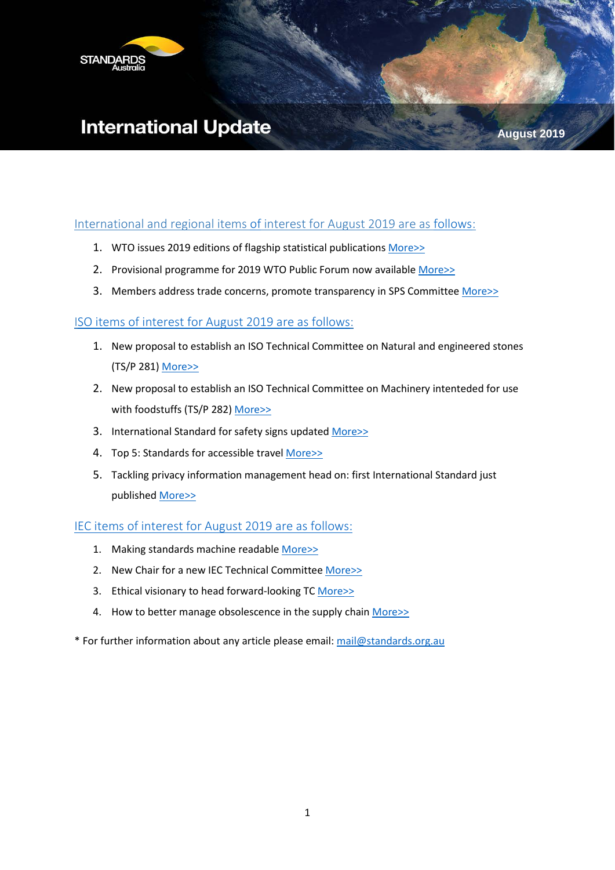

# **International Update**

#### International and regional items [of](#page-0-0) interest for August 2019 are as [follows:](#page-0-0)

- 1. WTO issues 2019 editions of flagship statistical publications [More>>](#page-1-0)
- 2. Provisional programme for 2019 WTO Public Forum now available [More>>](#page-1-1)
- 3. Members address trade concerns, promote transparency in SPS Committee [More>>](#page-1-2)

#### [ISO items of interest for August](#page-2-0) 2019 are as follows:

- 1. New proposal to establish an ISO Technical Committee on Natural and engineered stones (TS/P 281) [More>>](#page-2-1)
- 2. New proposal to establish an ISO Technical Committee on Machinery intenteded for use with foodstuffs (TS/P 282) [More>>](#page-2-2)
- 3. International Standard for safety signs updated [More>>](#page-3-0)
- 4. Top 5: Standards for accessible travel [More>>](#page-3-1)
- 5. Tackling privacy information management head on: first International Standard just published [More>>](#page-3-2)

#### [IEC items of interest for August](#page-4-0) 2019 are as follows:

- 1. Making standards machine readable [More>>](#page-4-1)
- 2. New Chair for a new IEC Technical Committee [More>>](#page-5-0)
- 3. Ethical visionary to head forward-looking TC [More>>](#page-5-1)
- <span id="page-0-0"></span>4. How to better manage obsolescence in the supply chain [More>>](#page-6-0)
- \* For further information about any article please email: [mail@standards.org.au](mailto:mail@standards.org.au)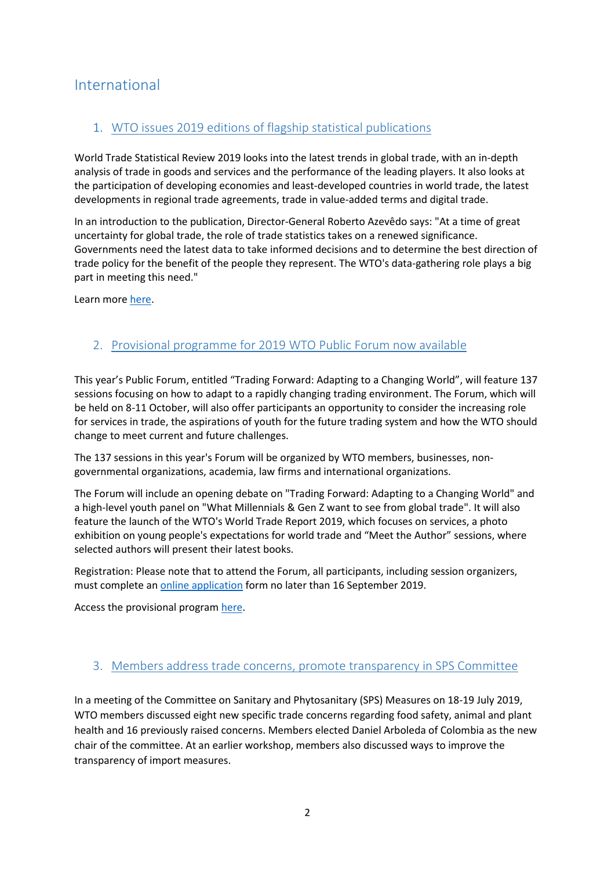# International

### <span id="page-1-0"></span>1. WTO issues 2019 editions of flagship statistical publications

World Trade Statistical Review 2019 looks into the latest trends in global trade, with an in-depth analysis of trade in goods and services and the performance of the leading players. It also looks at the participation of developing economies and least-developed countries in world trade, the latest developments in regional trade agreements, trade in value-added terms and digital trade.

In an introduction to the publication, Director-General Roberto Azevêdo says: "At a time of great uncertainty for global trade, the role of trade statistics takes on a renewed significance. Governments need the latest data to take informed decisions and to determine the best direction of trade policy for the benefit of the people they represent. The WTO's data-gathering role plays a big part in meeting this need."

Learn more [here.](https://www.wto.org/english/news_e/news19_e/publ_29jul19_e.htm)

#### <span id="page-1-1"></span>2. Provisional programme for 2019 WTO Public Forum now available

This year's Public Forum, entitled "Trading Forward: Adapting to a Changing World", will feature 137 sessions focusing on how to adapt to a rapidly changing trading environment. The Forum, which will be held on 8-11 October, will also offer participants an opportunity to consider the increasing role for services in trade, the aspirations of youth for the future trading system and how the WTO should change to meet current and future challenges.

The 137 sessions in this year's Forum will be organized by WTO members, businesses, nongovernmental organizations, academia, law firms and international organizations.

The Forum will include an opening debate on "Trading Forward: Adapting to a Changing World" and a high-level youth panel on "What Millennials & Gen Z want to see from global trade". It will also feature the launch of the WTO's World Trade Report 2019, which focuses on services, a photo exhibition on young people's expectations for world trade and "Meet the Author" sessions, where selected authors will present their latest books.

Registration: Please note that to attend the Forum, all participants, including session organizers, must complete an [online application](https://www.wto.org/english/forums_e/public_forum19_e/pf19_reg_e.htm) form no later than 16 September 2019.

Access the provisional program [here.](https://www.wto.org/english/news_e/news19_e/pf19_23jul19_e.htmhttps:/www.wto.org/english/news_e/news19_e/pf19_23jul19_e.htm)

#### <span id="page-1-2"></span>3. Members address trade concerns, promote transparency in SPS Committee

In a meeting of the Committee on Sanitary and Phytosanitary (SPS) Measures on 18-19 July 2019, WTO members discussed eight new specific trade concerns regarding food safety, animal and plant health and 16 previously raised concerns. Members elected Daniel Arboleda of Colombia as the new chair of the committee. At an earlier workshop, members also discussed ways to improve the transparency of import measures.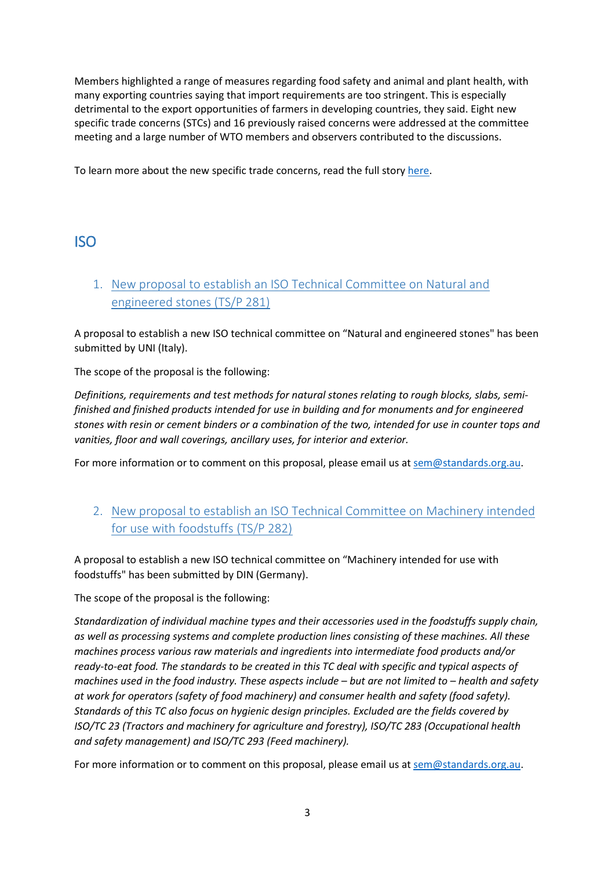Members highlighted a range of measures regarding food safety and animal and plant health, with many exporting countries saying that import requirements are too stringent. This is especially detrimental to the export opportunities of farmers in developing countries, they said. Eight new specific trade concerns (STCs) and 16 previously raised concerns were addressed at the committee meeting and a large number of WTO members and observers contributed to the discussions.

To learn more about the new specific trade concerns, read the full story [here.](https://www.wto.org/english/news_e/news19_e/sps_22jul19_e.htm)

# <span id="page-2-0"></span>ISO

<span id="page-2-1"></span>1. New proposal to establish an ISO Technical Committee on Natural and engineered stones (TS/P 281)

A proposal to establish a new ISO technical committee on "Natural and engineered stones" has been submitted by UNI (Italy).

The scope of the proposal is the following:

*Definitions, requirements and test methods for natural stones relating to rough blocks, slabs, semifinished and finished products intended for use in building and for monuments and for engineered stones with resin or cement binders or a combination of the two, intended for use in counter tops and vanities, floor and wall coverings, ancillary uses, for interior and exterior.*

For more information or to comment on this proposal, please email us at [sem@standards.org.au.](mailto:sem@standards.org.au)

## <span id="page-2-2"></span>2. New proposal to establish an ISO Technical Committee on Machinery intended for use with foodstuffs (TS/P 282)

A proposal to establish a new ISO technical committee on "Machinery intended for use with foodstuffs" has been submitted by DIN (Germany).

The scope of the proposal is the following:

*Standardization of individual machine types and their accessories used in the foodstuffs supply chain, as well as processing systems and complete production lines consisting of these machines. All these machines process various raw materials and ingredients into intermediate food products and/or ready-to-eat food. The standards to be created in this TC deal with specific and typical aspects of machines used in the food industry. These aspects include – but are not limited to – health and safety at work for operators (safety of food machinery) and consumer health and safety (food safety). Standards of this TC also focus on hygienic design principles. Excluded are the fields covered by ISO/TC 23 (Tractors and machinery for agriculture and forestry), ISO/TC 283 (Occupational health and safety management) and ISO/TC 293 (Feed machinery).*

For more information or to comment on this proposal, please email us at [sem@standards.org.au.](mailto:sem@standards.org.au)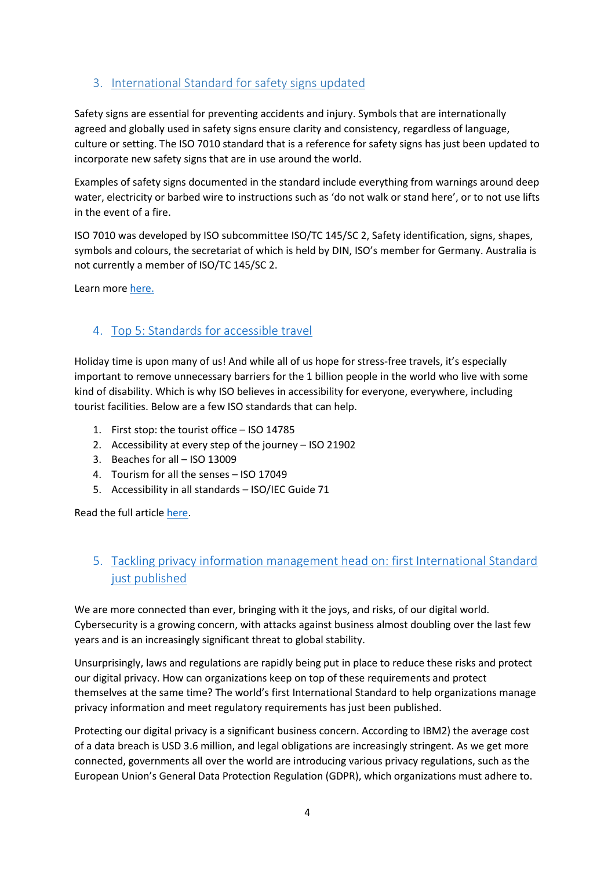## <span id="page-3-0"></span>3. International Standard for safety signs updated

Safety signs are essential for preventing accidents and injury. Symbols that are internationally agreed and globally used in safety signs ensure clarity and consistency, regardless of language, culture or setting. The ISO 7010 standard that is a reference for safety signs has just been updated to incorporate new safety signs that are in use around the world.

Examples of safety signs documented in the standard include everything from warnings around deep water, electricity or barbed wire to instructions such as 'do not walk or stand here', or to not use lifts in the event of a fire.

ISO 7010 was developed by ISO subcommittee ISO/TC 145/SC 2, Safety identification, signs, shapes, symbols and colours, the secretariat of which is held by DIN, ISO's member for Germany. Australia is not currently a member of ISO/TC 145/SC 2.

Learn more [here.](https://www.iso.org/news/ref2417.html)

#### <span id="page-3-1"></span>4. Top 5: Standards for accessible travel

Holiday time is upon many of us! And while all of us hope for stress-free travels, it's especially important to remove unnecessary barriers for the 1 billion people in the world who live with some kind of disability. Which is why ISO believes in accessibility for everyone, everywhere, including tourist facilities. Below are a few ISO standards that can help.

- 1. First stop: the tourist office ISO 14785
- 2. Accessibility at every step of the journey ISO 21902
- 3. Beaches for all ISO 13009
- 4. Tourism for all the senses ISO 17049
- 5. Accessibility in all standards ISO/IEC Guide 71

Read the full articl[e here.](https://www.iso.org/news/ref2416.html)

## <span id="page-3-2"></span>5. Tackling privacy information management head on: first International Standard just published

We are more connected than ever, bringing with it the joys, and risks, of our digital world. Cybersecurity is a growing concern, with attacks against business almost doubling over the last few years and is an increasingly significant threat to global stability.

Unsurprisingly, laws and regulations are rapidly being put in place to reduce these risks and protect our digital privacy. How can organizations keep on top of these requirements and protect themselves at the same time? The world's first International Standard to help organizations manage privacy information and meet regulatory requirements has just been published.

Protecting our digital privacy is a significant business concern. According to IBM2) the average cost of a data breach is USD 3.6 million, and legal obligations are increasingly stringent. As we get more connected, governments all over the world are introducing various privacy regulations, such as the European Union's General Data Protection Regulation (GDPR), which organizations must adhere to.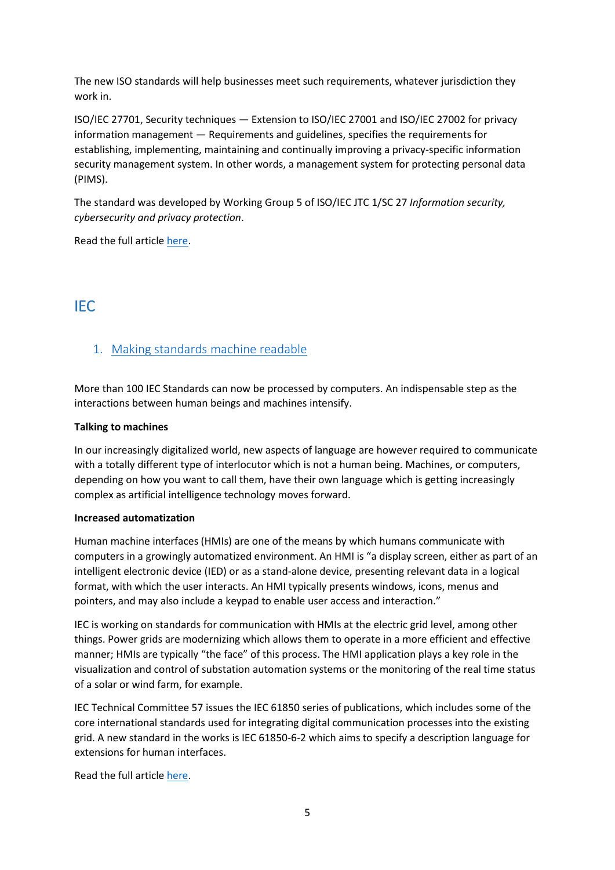The new ISO standards will help businesses meet such requirements, whatever jurisdiction they work in.

ISO/IEC 27701, Security techniques — Extension to ISO/IEC 27001 and ISO/IEC 27002 for privacy information management — Requirements and guidelines, specifies the requirements for establishing, implementing, maintaining and continually improving a privacy-specific information security management system. In other words, a management system for protecting personal data (PIMS).

The standard was developed by Working Group 5 of ISO/IEC JTC 1/SC 27 *Information security, cybersecurity and privacy protection*.

<span id="page-4-0"></span>Read the full articl[e here.](https://www.iso.org/news/ref2419.html)

# IEC

#### <span id="page-4-1"></span>1. Making standards machine readable

More than 100 IEC Standards can now be processed by computers. An indispensable step as the interactions between human beings and machines intensify.

#### **Talking to machines**

In our increasingly digitalized world, new aspects of language are however required to communicate with a totally different type of interlocutor which is not a human being. Machines, or computers, depending on how you want to call them, have their own language which is getting increasingly complex as artificial intelligence technology moves forward.

#### **Increased automatization**

Human machine interfaces (HMIs) are one of the means by which humans communicate with computers in a growingly automatized environment. An HMI is "a display screen, either as part of an intelligent electronic device (IED) or as a stand-alone device, presenting relevant data in a logical format, with which the user interacts. An HMI typically presents windows, icons, menus and pointers, and may also include a keypad to enable user access and interaction."

IEC is working on standards for communication with HMIs at the electric grid level, among other things. Power grids are modernizing which allows them to operate in a more efficient and effective manner; HMIs are typically "the face" of this process. The HMI application plays a key role in the visualization and control of substation automation systems or the monitoring of the real time status of a solar or wind farm, for example.

IEC Technical Committee 57 issues the IEC 61850 series of publications, which includes some of the core international standards used for integrating digital communication processes into the existing grid. A new standard in the works is IEC 61850-6-2 which aims to specify a description language for extensions for human interfaces.

Read the full articl[e here.](https://blog.iec.ch/2019/08/making-standards-machine-readable/)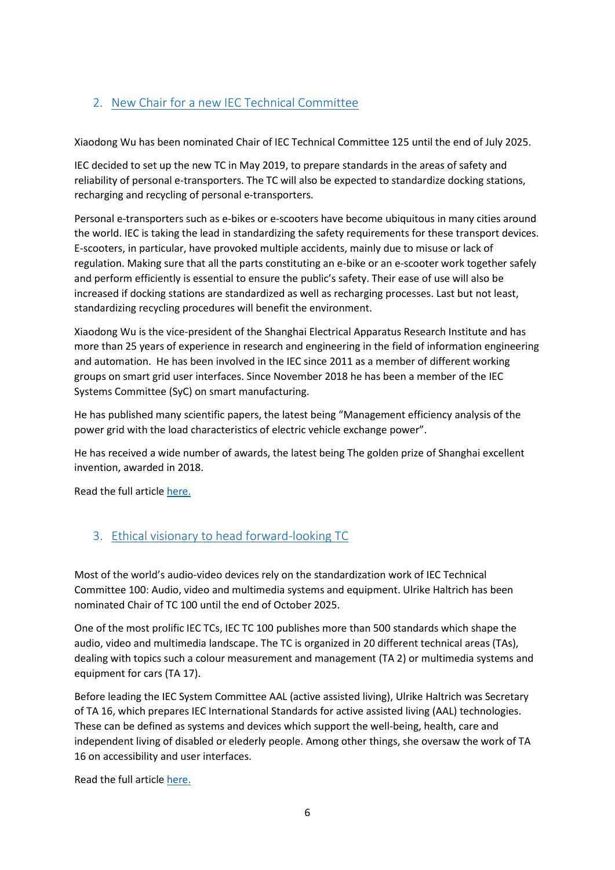# <span id="page-5-0"></span>2. New Chair for a new IEC Technical Committee

Xiaodong Wu has been nominated Chair of IEC Technical Committee 125 until the end of July 2025.

IEC decided to set up the new TC in May 2019, to prepare standards in the areas of safety and reliability of personal e-transporters. The TC will also be expected to standardize docking stations, recharging and recycling of personal e-transporters.

Personal e-transporters such as e-bikes or e-scooters have become ubiquitous in many cities around the world. IEC is taking the lead in standardizing the safety requirements for these transport devices. E-scooters, in particular, have provoked multiple accidents, mainly due to misuse or lack of regulation. Making sure that all the parts constituting an e-bike or an e-scooter work together safely and perform efficiently is essential to ensure the public's safety. Their ease of use will also be increased if docking stations are standardized as well as recharging processes. Last but not least, standardizing recycling procedures will benefit the environment.

Xiaodong Wu is the vice-president of the Shanghai Electrical Apparatus Research Institute and has more than 25 years of experience in research and engineering in the field of information engineering and automation. He has been involved in the IEC since 2011 as a member of different working groups on smart grid user interfaces. Since November 2018 he has been a member of the IEC Systems Committee (SyC) on smart manufacturing.

He has published many scientific papers, the latest being "Management efficiency analysis of the power grid with the load characteristics of electric vehicle exchange power".

He has received a wide number of awards, the latest being The golden prize of Shanghai excellent invention, awarded in 2018.

Read the full article [here.](https://blog.iec.ch/2019/08/new-chair-for-a-new-technical-committee/)

## <span id="page-5-1"></span>3. Ethical visionary to head forward-looking TC

Most of the world's audio-video devices rely on the standardization work of IEC Technical Committee 100: Audio, video and multimedia systems and equipment. Ulrike Haltrich has been nominated Chair of TC 100 until the end of October 2025.

One of the most prolific IEC TCs, IEC TC 100 publishes more than 500 standards which shape the audio, video and multimedia landscape. The TC is organized in 20 different technical areas (TAs), dealing with topics such a colour measurement and management (TA 2) or multimedia systems and equipment for cars (TA 17).

Before leading the IEC System Committee AAL (active assisted living), Ulrike Haltrich was Secretary of TA 16, which prepares IEC International Standards for active assisted living (AAL) technologies. These can be defined as systems and devices which support the well-being, health, care and independent living of disabled or elederly people. Among other things, she oversaw the work of TA 16 on accessibility and user interfaces.

Read the full article [here.](https://blog.iec.ch/2019/08/ethical-visionary-to-head-forward-looking-tc/)